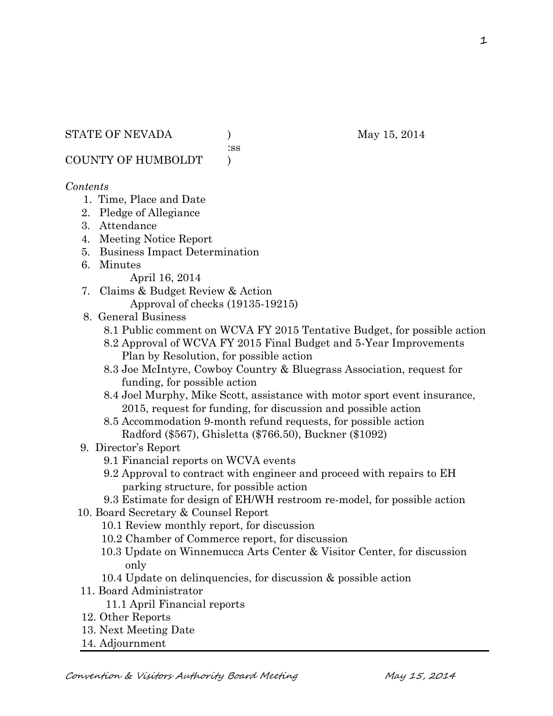#### STATE OF NEVADA (a) (b) May 15, 2014

:ss

COUNTY OF HUMBOLDT )

#### *Contents*

- 1. Time, Place and Date
- 2. Pledge of Allegiance
- 3. Attendance
- 4. Meeting Notice Report
- 5. Business Impact Determination
- 6. Minutes

April 16, 2014

- 7. Claims & Budget Review & Action Approval of checks (19135-19215)
- 8. General Business
	- 8.1 Public comment on WCVA FY 2015 Tentative Budget, for possible action
	- 8.2 Approval of WCVA FY 2015 Final Budget and 5-Year Improvements Plan by Resolution, for possible action
	- 8.3 Joe McIntyre, Cowboy Country & Bluegrass Association, request for funding, for possible action
	- 8.4 Joel Murphy, Mike Scott, assistance with motor sport event insurance, 2015, request for funding, for discussion and possible action
	- 8.5 Accommodation 9-month refund requests, for possible action Radford (\$567), Ghisletta (\$766.50), Buckner (\$1092)
- 9. Director's Report
	- 9.1 Financial reports on WCVA events
	- 9.2 Approval to contract with engineer and proceed with repairs to EH parking structure, for possible action
	- 9.3 Estimate for design of EH/WH restroom re-model, for possible action
- 10. Board Secretary & Counsel Report
	- 10.1 Review monthly report, for discussion
	- 10.2 Chamber of Commerce report, for discussion
	- 10.3 Update on Winnemucca Arts Center & Visitor Center, for discussion only
	- 10.4 Update on delinquencies, for discussion & possible action
- 11. Board Administrator
	- 11.1 April Financial reports
- 12. Other Reports
- 13. Next Meeting Date
- 14. Adjournment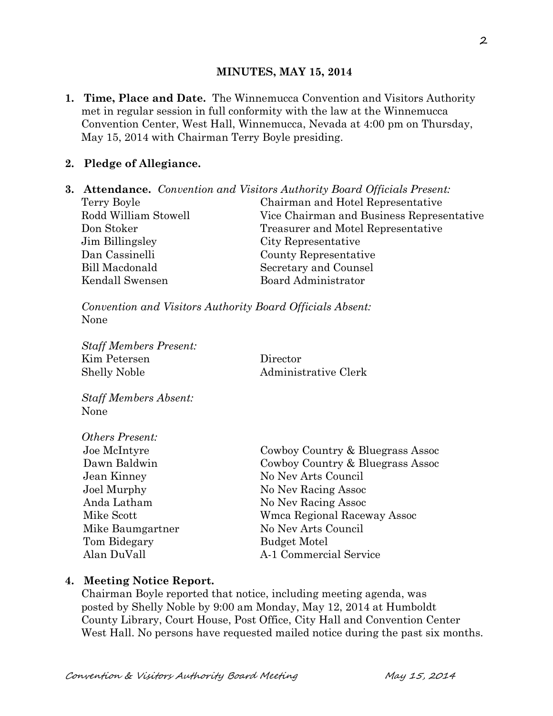### **MINUTES, MAY 15, 2014**

**1. Time, Place and Date.** The Winnemucca Convention and Visitors Authority met in regular session in full conformity with the law at the Winnemucca Convention Center, West Hall, Winnemucca, Nevada at 4:00 pm on Thursday, May 15, 2014 with Chairman Terry Boyle presiding.

### **2. Pledge of Allegiance.**

**3. Attendance.** *Convention and Visitors Authority Board Officials Present:* Terry Boyle Chairman and Hotel Representative Rodd William Stowell Vice Chairman and Business Representative Don Stoker Treasurer and Motel Representative Jim Billingsley City Representative Dan Cassinelli County Representative Bill Macdonald Secretary and Counsel Kendall Swensen Board Administrator

*Convention and Visitors Authority Board Officials Absent:* None

*Staff Members Present:* Kim Petersen Director Shelly Noble Administrative Clerk

*Staff Members Absent:* None

| <i>Others Present:</i> |
|------------------------|
| Joe McIntyre           |
| Dawn Baldwin           |
| Jean Kinney            |
| Joel Murphy            |
| Anda Latham            |
| Mike Scott             |
| Mike Baumgartner       |
| Tom Bidegary           |
| Alan DuVall            |

Cowboy Country & Bluegrass Assoc Cowboy Country & Bluegrass Assoc No Nev Arts Council No Nev Racing Assoc No Nev Racing Assoc Wmca Regional Raceway Assoc No Nev Arts Council Budget Motel A-1 Commercial Service

#### **4. Meeting Notice Report.**

Chairman Boyle reported that notice, including meeting agenda, was posted by Shelly Noble by 9:00 am Monday, May 12, 2014 at Humboldt County Library, Court House, Post Office, City Hall and Convention Center West Hall. No persons have requested mailed notice during the past six months.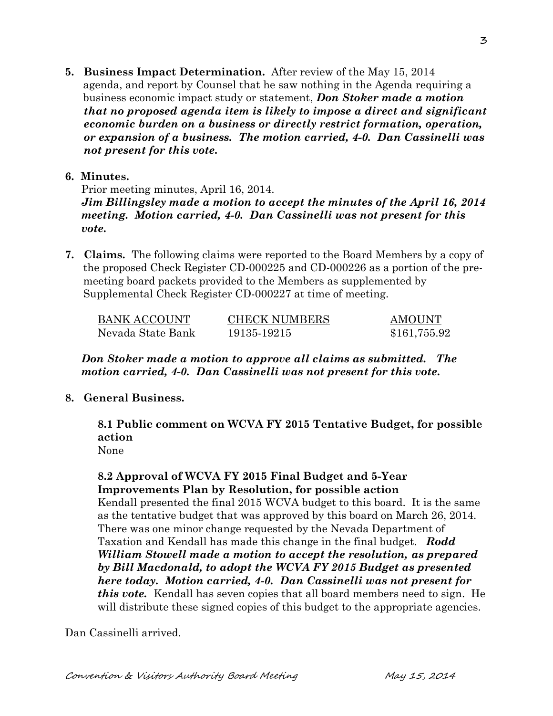**5. Business Impact Determination.** After review of the May 15, 2014 agenda, and report by Counsel that he saw nothing in the Agenda requiring a business economic impact study or statement, *Don Stoker made a motion that no proposed agenda item is likely to impose a direct and significant economic burden on a business or directly restrict formation, operation, or expansion of a business. The motion carried, 4-0. Dan Cassinelli was not present for this vote.* 

## **6. Minutes.**

Prior meeting minutes, April 16, 2014. *Jim Billingsley made a motion to accept the minutes of the April 16, 2014 meeting. Motion carried, 4-0. Dan Cassinelli was not present for this vote.*

**7. Claims.** The following claims were reported to the Board Members by a copy of the proposed Check Register CD-000225 and CD-000226 as a portion of the pre meeting board packets provided to the Members as supplemented by Supplemental Check Register CD-000227 at time of meeting.

| BANK ACCOUNT      | <b>CHECK NUMBERS</b> | <b>AMOUNT</b> |
|-------------------|----------------------|---------------|
| Nevada State Bank | 19135-19215          | \$161,755.92  |

## *Don Stoker made a motion to approve all claims as submitted. The motion carried, 4-0. Dan Cassinelli was not present for this vote.*

## **8. General Business.**

**8.1 Public comment on WCVA FY 2015 Tentative Budget, for possible action**

None

 **8.2 Approval of WCVA FY 2015 Final Budget and 5-Year Improvements Plan by Resolution, for possible action**  Kendall presented the final 2015 WCVA budget to this board. It is the same as the tentative budget that was approved by this board on March 26, 2014. There was one minor change requested by the Nevada Department of Taxation and Kendall has made this change in the final budget. *Rodd William Stowell made a motion to accept the resolution, as prepared by Bill Macdonald, to adopt the WCVA FY 2015 Budget as presented* 

*here today. Motion carried, 4-0. Dan Cassinelli was not present for this vote.* Kendall has seven copies that all board members need to sign. He will distribute these signed copies of this budget to the appropriate agencies.

Dan Cassinelli arrived.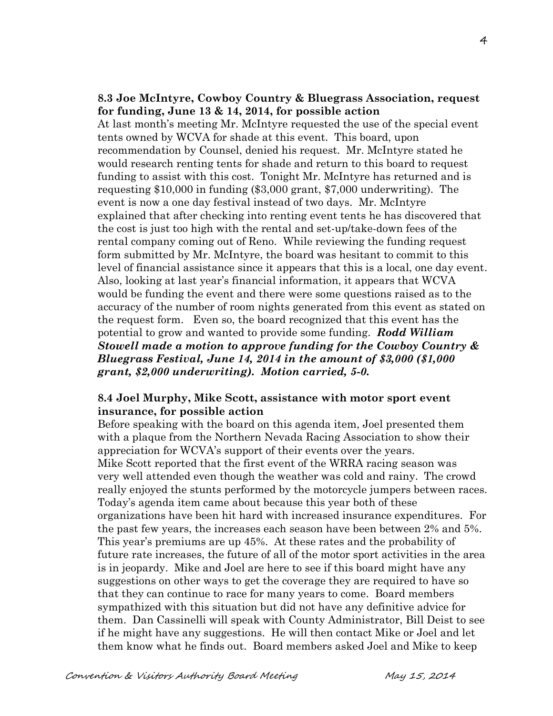### **8.3 Joe McIntyre, Cowboy Country & Bluegrass Association, request for funding, June 13 & 14, 2014, for possible action**

At last month's meeting Mr. McIntyre requested the use of the special event tents owned by WCVA for shade at this event. This board, upon recommendation by Counsel, denied his request. Mr. McIntyre stated he would research renting tents for shade and return to this board to request funding to assist with this cost. Tonight Mr. McIntyre has returned and is requesting \$10,000 in funding (\$3,000 grant, \$7,000 underwriting). The event is now a one day festival instead of two days. Mr. McIntyre explained that after checking into renting event tents he has discovered that the cost is just too high with the rental and set-up/take-down fees of the rental company coming out of Reno. While reviewing the funding request form submitted by Mr. McIntyre, the board was hesitant to commit to this level of financial assistance since it appears that this is a local, one day event. Also, looking at last year's financial information, it appears that WCVA would be funding the event and there were some questions raised as to the accuracy of the number of room nights generated from this event as stated on the request form. Even so, the board recognized that this event has the potential to grow and wanted to provide some funding. *Rodd William Stowell made a motion to approve funding for the Cowboy Country & Bluegrass Festival, June 14, 2014 in the amount of \$3,000 (\$1,000 grant, \$2,000 underwriting). Motion carried, 5-0.*

### **8.4 Joel Murphy, Mike Scott, assistance with motor sport event insurance, for possible action**

Before speaking with the board on this agenda item, Joel presented them with a plaque from the Northern Nevada Racing Association to show their appreciation for WCVA's support of their events over the years. Mike Scott reported that the first event of the WRRA racing season was very well attended even though the weather was cold and rainy. The crowd really enjoyed the stunts performed by the motorcycle jumpers between races. Today's agenda item came about because this year both of these organizations have been hit hard with increased insurance expenditures. For the past few years, the increases each season have been between 2% and 5%. This year's premiums are up 45%. At these rates and the probability of future rate increases, the future of all of the motor sport activities in the area is in jeopardy. Mike and Joel are here to see if this board might have any suggestions on other ways to get the coverage they are required to have so that they can continue to race for many years to come. Board members sympathized with this situation but did not have any definitive advice for them. Dan Cassinelli will speak with County Administrator, Bill Deist to see if he might have any suggestions. He will then contact Mike or Joel and let them know what he finds out. Board members asked Joel and Mike to keep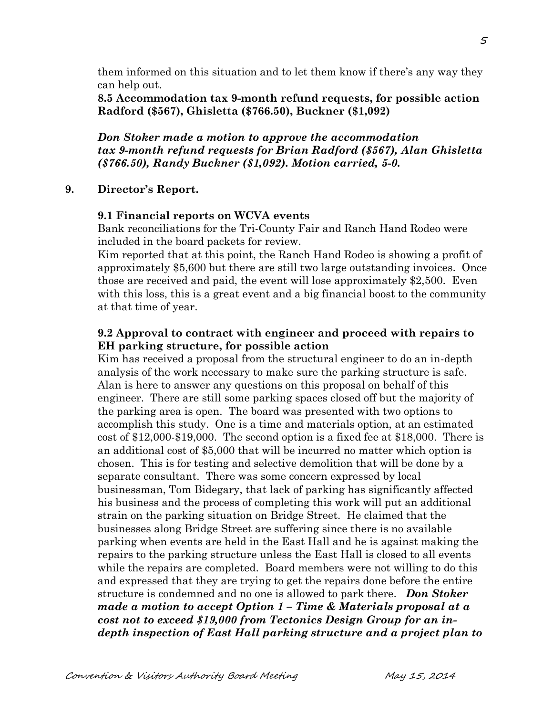them informed on this situation and to let them know if there's any way they can help out.

**8.5 Accommodation tax 9-month refund requests, for possible action Radford (\$567), Ghisletta (\$766.50), Buckner (\$1,092)**

*Don Stoker made a motion to approve the accommodation tax 9-month refund requests for Brian Radford (\$567), Alan Ghisletta (\$766.50), Randy Buckner (\$1,092). Motion carried, 5-0.*

#### **9. Director's Report.**

#### **9.1 Financial reports on WCVA events**

Bank reconciliations for the Tri-County Fair and Ranch Hand Rodeo were included in the board packets for review.

Kim reported that at this point, the Ranch Hand Rodeo is showing a profit of approximately \$5,600 but there are still two large outstanding invoices. Once those are received and paid, the event will lose approximately \$2,500. Even with this loss, this is a great event and a big financial boost to the community at that time of year.

## **9.2 Approval to contract with engineer and proceed with repairs to EH parking structure, for possible action**

Kim has received a proposal from the structural engineer to do an in-depth analysis of the work necessary to make sure the parking structure is safe. Alan is here to answer any questions on this proposal on behalf of this engineer. There are still some parking spaces closed off but the majority of the parking area is open. The board was presented with two options to accomplish this study. One is a time and materials option, at an estimated cost of \$12,000-\$19,000. The second option is a fixed fee at \$18,000. There is an additional cost of \$5,000 that will be incurred no matter which option is chosen. This is for testing and selective demolition that will be done by a separate consultant. There was some concern expressed by local businessman, Tom Bidegary, that lack of parking has significantly affected his business and the process of completing this work will put an additional strain on the parking situation on Bridge Street. He claimed that the businesses along Bridge Street are suffering since there is no available parking when events are held in the East Hall and he is against making the repairs to the parking structure unless the East Hall is closed to all events while the repairs are completed. Board members were not willing to do this and expressed that they are trying to get the repairs done before the entire structure is condemned and no one is allowed to park there. *Don Stoker made a motion to accept Option 1 – Time & Materials proposal at a cost not to exceed \$19,000 from Tectonics Design Group for an indepth inspection of East Hall parking structure and a project plan to* 

5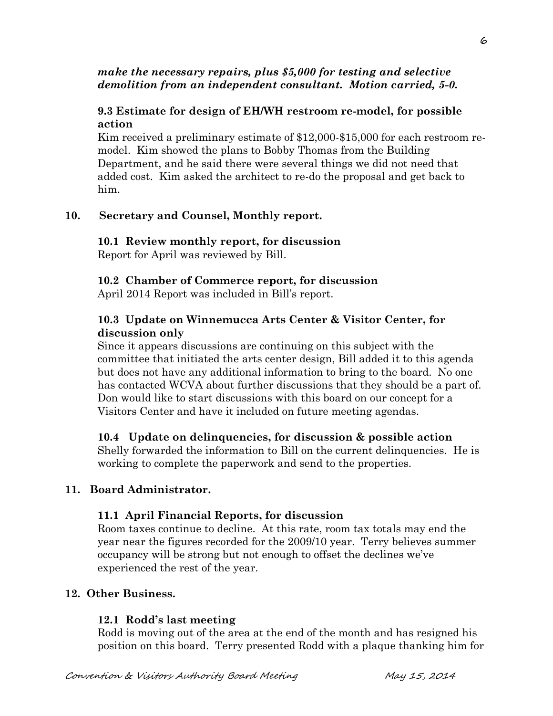### *make the necessary repairs, plus \$5,000 for testing and selective demolition from an independent consultant. Motion carried, 5-0.*

## **9.3 Estimate for design of EH/WH restroom re-model, for possible action**

Kim received a preliminary estimate of \$12,000-\$15,000 for each restroom remodel. Kim showed the plans to Bobby Thomas from the Building Department, and he said there were several things we did not need that added cost. Kim asked the architect to re-do the proposal and get back to him.

# **10. Secretary and Counsel, Monthly report.**

#### **10.1 Review monthly report, for discussion** Report for April was reviewed by Bill.

# **10.2 Chamber of Commerce report, for discussion**

April 2014 Report was included in Bill's report.

# **10.3 Update on Winnemucca Arts Center & Visitor Center, for discussion only**

Since it appears discussions are continuing on this subject with the committee that initiated the arts center design, Bill added it to this agenda but does not have any additional information to bring to the board. No one has contacted WCVA about further discussions that they should be a part of. Don would like to start discussions with this board on our concept for a Visitors Center and have it included on future meeting agendas.

# **10.4 Update on delinquencies, for discussion & possible action**

Shelly forwarded the information to Bill on the current delinquencies. He is working to complete the paperwork and send to the properties.

# **11. Board Administrator.**

## **11.1 April Financial Reports, for discussion**

Room taxes continue to decline. At this rate, room tax totals may end the year near the figures recorded for the 2009/10 year. Terry believes summer occupancy will be strong but not enough to offset the declines we've experienced the rest of the year.

# **12. Other Business.**

# **12.1 Rodd's last meeting**

Rodd is moving out of the area at the end of the month and has resigned his position on this board. Terry presented Rodd with a plaque thanking him for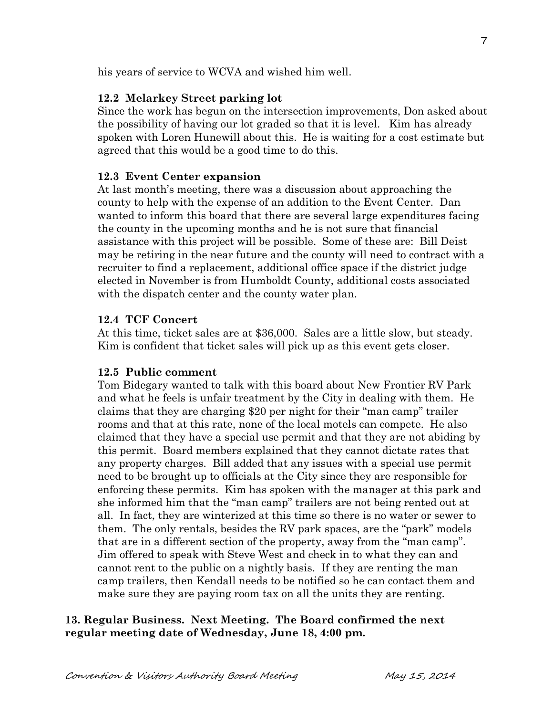his years of service to WCVA and wished him well.

#### **12.2 Melarkey Street parking lot**

Since the work has begun on the intersection improvements, Don asked about the possibility of having our lot graded so that it is level. Kim has already spoken with Loren Hunewill about this. He is waiting for a cost estimate but agreed that this would be a good time to do this.

#### **12.3 Event Center expansion**

At last month's meeting, there was a discussion about approaching the county to help with the expense of an addition to the Event Center. Dan wanted to inform this board that there are several large expenditures facing the county in the upcoming months and he is not sure that financial assistance with this project will be possible. Some of these are: Bill Deist may be retiring in the near future and the county will need to contract with a recruiter to find a replacement, additional office space if the district judge elected in November is from Humboldt County, additional costs associated with the dispatch center and the county water plan.

#### **12.4 TCF Concert**

At this time, ticket sales are at \$36,000. Sales are a little slow, but steady. Kim is confident that ticket sales will pick up as this event gets closer.

#### **12.5 Public comment**

Tom Bidegary wanted to talk with this board about New Frontier RV Park and what he feels is unfair treatment by the City in dealing with them. He claims that they are charging \$20 per night for their "man camp" trailer rooms and that at this rate, none of the local motels can compete. He also claimed that they have a special use permit and that they are not abiding by this permit. Board members explained that they cannot dictate rates that any property charges. Bill added that any issues with a special use permit need to be brought up to officials at the City since they are responsible for enforcing these permits. Kim has spoken with the manager at this park and she informed him that the "man camp" trailers are not being rented out at all. In fact, they are winterized at this time so there is no water or sewer to them. The only rentals, besides the RV park spaces, are the "park" models that are in a different section of the property, away from the "man camp". Jim offered to speak with Steve West and check in to what they can and cannot rent to the public on a nightly basis. If they are renting the man camp trailers, then Kendall needs to be notified so he can contact them and make sure they are paying room tax on all the units they are renting.

### **13. Regular Business. Next Meeting. The Board confirmed the next regular meeting date of Wednesday, June 18, 4:00 pm.**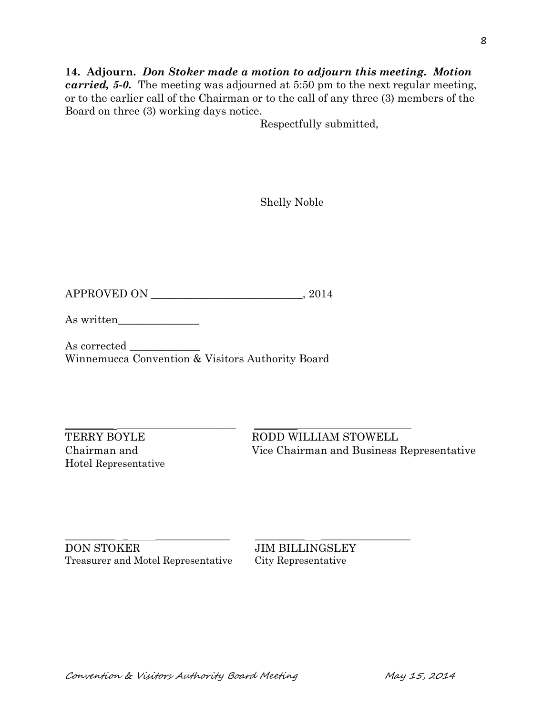## **14. Adjourn.** *Don Stoker made a motion to adjourn this meeting. Motion carried, 5-0.* The meeting was adjourned at 5:50 pm to the next regular meeting, or to the earlier call of the Chairman or to the call of any three (3) members of the Board on three (3) working days notice.

Respectfully submitted,

Shelly Noble

APPROVED ON \_\_\_\_\_\_\_\_\_\_\_\_\_\_\_\_\_\_\_\_\_\_\_\_\_\_\_\_, 2014

As written\_\_\_\_\_\_\_\_\_\_\_\_\_\_\_

As corrected \_\_\_\_\_\_\_\_\_\_\_\_\_ Winnemucca Convention & Visitors Authority Board

 $\_$  ,  $\_$  ,  $\_$  ,  $\_$  ,  $\_$  ,  $\_$  ,  $\_$  ,  $\_$  ,  $\_$  ,  $\_$  ,  $\_$  ,  $\_$  ,  $\_$  ,  $\_$  ,  $\_$  ,  $\_$  ,  $\_$  ,  $\_$  ,  $\_$  ,  $\_$  ,  $\_$  ,  $\_$  ,  $\_$  ,  $\_$  ,  $\_$  ,  $\_$  ,  $\_$  ,  $\_$  ,  $\_$  ,  $\_$  ,  $\_$  ,  $\_$  ,  $\_$  ,  $\_$  ,  $\_$  ,  $\_$  ,  $\_$  , Hotel Representative

TERRY BOYLE RODD WILLIAM STOWELL Chairman and Vice Chairman and Business Representative

DON STOKER JIM BILLINGSLEY Treasurer and Motel Representative City Representative

 $\_$  , and the set of the set of the set of the set of the set of the set of the set of the set of the set of the set of the set of the set of the set of the set of the set of the set of the set of the set of the set of th